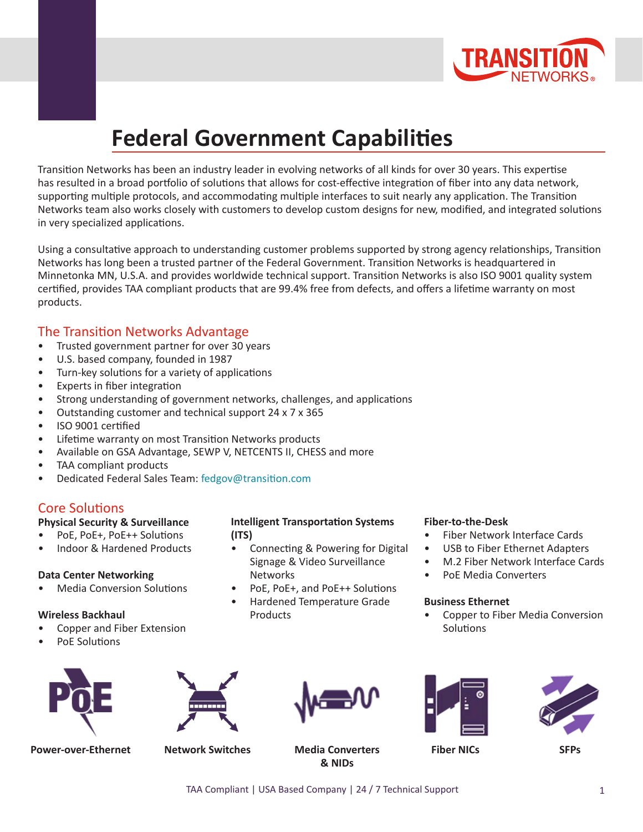

# **[Federal Government Capabilities](https://www.transition.com/markets/government/)**

Transition Networks has been an industry leader in evolving networks of all kinds for over 30 years. This expertise has resulted in a broad portfolio of solutions that allows for cost-effective integration of fiber into any data network, supporting multiple protocols, and accommodating multiple interfaces to suit nearly any application. The Transition Networks team also works closely with customers to develop custom designs for new, modified, and integrated solutions in very specialized applications.

Using a consultative approach to understanding customer problems supported by strong agency relationships, Transition Networks has long been a trusted partner of the Federal Government. Transition Networks is headquartered in Minnetonka MN, U.S.A. and provides worldwide technical support. Transition Networks is also ISO 9001 quality system certified, provides TAA compliant products that are 99.4% free from defects, and offers a lifetime warranty on most products.

### The Transition Networks Advantage

- Trusted government partner for over 30 years
- U.S. based company, founded in 1987
- Turn-key solutions for a variety of applications
- Experts in fiber integration
- Strong understanding of government networks, challenges, and applications
- Outstanding customer and technical support 24 x 7 x 365
- ISO 9001 certified
- Lifetime warranty on most Transition Networks products
- Available on GSA Advantage, SEWP V, NETCENTS II, CHESS and more
- TAA compliant products
- Dedicated Federal Sales Team: [fedgov@transition.com](mailto:fedgov%40transition.com?subject=Government%20Brochure)

### Core Solutions

#### **Physical Security & Surveillance**

- PoE, PoE+, PoE++ Solutions
- Indoor & Hardened Products

#### **Data Center Networking**

• Media Conversion Solutions

#### **Wireless Backhaul**

- Copper and Fiber Extension
- PoE Solutions



**Power-over-Ethernet Network Switches Media Converters**

#### **Intelligent Transportation Systems (ITS)**

- Connecting & Powering for Digital Signage & Video Surveillance **Networks**
- PoE, PoE+, and PoE++ Solutions
- Hardened Temperature Grade **Products**

#### **Fiber-to-the-Desk**

- Fiber Network Interface Cards
- USB to Fiber Ethernet Adapters
- M.2 Fiber Network Interface Cards
- PoE Media Converters

#### **Business Ethernet**

• Copper to Fiber Media Conversion **Solutions** 





**Fiber NICs SFPs**